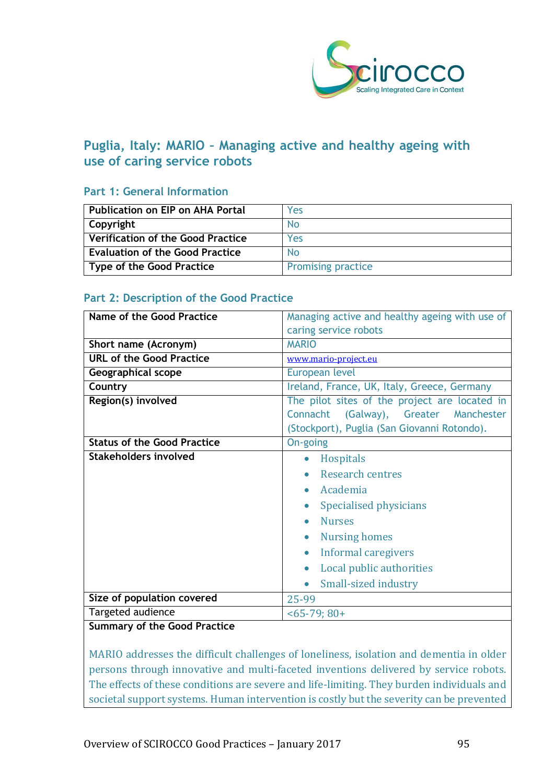

# **Puglia, Italy: MARIO – Managing active and healthy ageing with use of caring service robots**

# **Part 1: General Information**

| l Publication on EIP on AHA Portal       | Yes                       |
|------------------------------------------|---------------------------|
| Copyright                                | No                        |
| $\mid$ Verification of the Good Practice | Yes                       |
| <b>Evaluation of the Good Practice</b>   | <b>No</b>                 |
| Type of the Good Practice                | <b>Promising practice</b> |

## **Part 2: Description of the Good Practice**

| <b>Name of the Good Practice</b>   | Managing active and healthy ageing with use of |  |
|------------------------------------|------------------------------------------------|--|
|                                    | caring service robots                          |  |
| Short name (Acronym)               | <b>MARIO</b>                                   |  |
| <b>URL of the Good Practice</b>    | www.mario-project.eu                           |  |
| <b>Geographical scope</b>          | European level                                 |  |
| Country                            | Ireland, France, UK, Italy, Greece, Germany    |  |
| Region(s) involved                 | The pilot sites of the project are located in  |  |
|                                    | Connacht (Galway), Greater Manchester          |  |
|                                    | (Stockport), Puglia (San Giovanni Rotondo).    |  |
| <b>Status of the Good Practice</b> | On-going                                       |  |
| Stakeholders involved              | <b>Hospitals</b><br>$\bullet$                  |  |
|                                    | <b>Research centres</b>                        |  |
|                                    | Academia<br>$\bullet$                          |  |
|                                    | Specialised physicians<br>$\bullet$            |  |
|                                    | <b>Nurses</b><br>$\bullet$                     |  |
|                                    | <b>Nursing homes</b><br>$\bullet$              |  |
|                                    |                                                |  |
|                                    | <b>Informal caregivers</b>                     |  |
|                                    | Local public authorities                       |  |
|                                    | Small-sized industry<br>$\bullet$              |  |
| Size of population covered         | 25-99                                          |  |
| Targeted audience                  | $<$ 65-79; 80+                                 |  |
| Cummany of the Coad Drastice       |                                                |  |

#### **Summary of the Good Practice**

MARIO addresses the difficult challenges of loneliness, isolation and dementia in older persons through innovative and multi-faceted inventions delivered by service robots. The effects of these conditions are severe and life-limiting. They burden individuals and societal support systems. Human intervention is costly but the severity can be prevented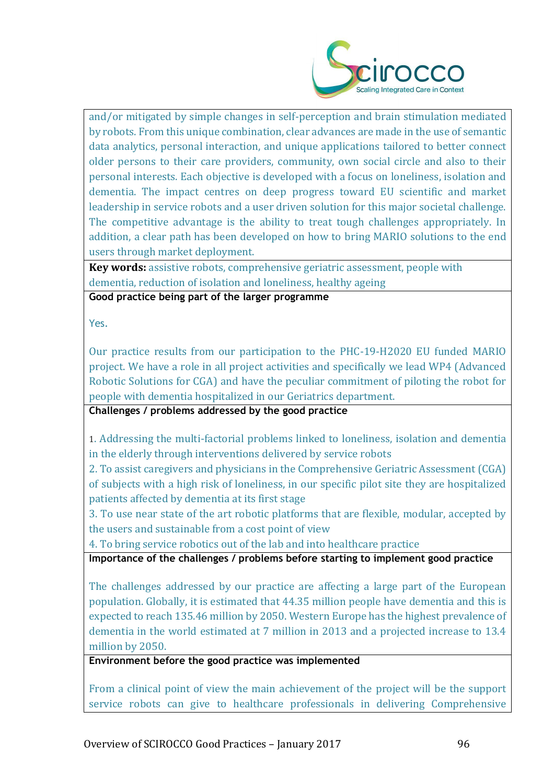

and/or mitigated by simple changes in self-perception and brain stimulation mediated by robots. From this unique combination, clear advances are made in the use of semantic data analytics, personal interaction, and unique applications tailored to better connect older persons to their care providers, community, own social circle and also to their personal interests. Each objective is developed with a focus on loneliness, isolation and dementia. The impact centres on deep progress toward EU scientific and market leadership in service robots and a user driven solution for this major societal challenge. The competitive advantage is the ability to treat tough challenges appropriately. In addition, a clear path has been developed on how to bring MARIO solutions to the end users through market deployment.

**Key words:** assistive robots, comprehensive geriatric assessment, people with dementia, reduction of isolation and loneliness, healthy ageing

**Good practice being part of the larger programme**

Yes.

Our practice results from our participation to the PHC-19-H2020 EU funded MARIO project. We have a role in all project activities and specifically we lead WP4 (Advanced Robotic Solutions for CGA) and have the peculiar commitment of piloting the robot for people with dementia hospitalized in our Geriatrics department.

**Challenges / problems addressed by the good practice**

1. Addressing the multi-factorial problems linked to loneliness, isolation and dementia in the elderly through interventions delivered by service robots

2. To assist caregivers and physicians in the Comprehensive Geriatric Assessment (CGA) of subjects with a high risk of loneliness, in our specific pilot site they are hospitalized patients affected by dementia at its first stage

3. To use near state of the art robotic platforms that are flexible, modular, accepted by the users and sustainable from a cost point of view

4. To bring service robotics out of the lab and into healthcare practice

**Importance of the challenges / problems before starting to implement good practice**

The challenges addressed by our practice are affecting a large part of the European population. Globally, it is estimated that 44.35 million people have dementia and this is expected to reach 135.46 million by 2050. Western Europe has the highest prevalence of dementia in the world estimated at 7 million in 2013 and a projected increase to 13.4 million by 2050.

**Environment before the good practice was implemented** 

From a clinical point of view the main achievement of the project will be the support service robots can give to healthcare professionals in delivering Comprehensive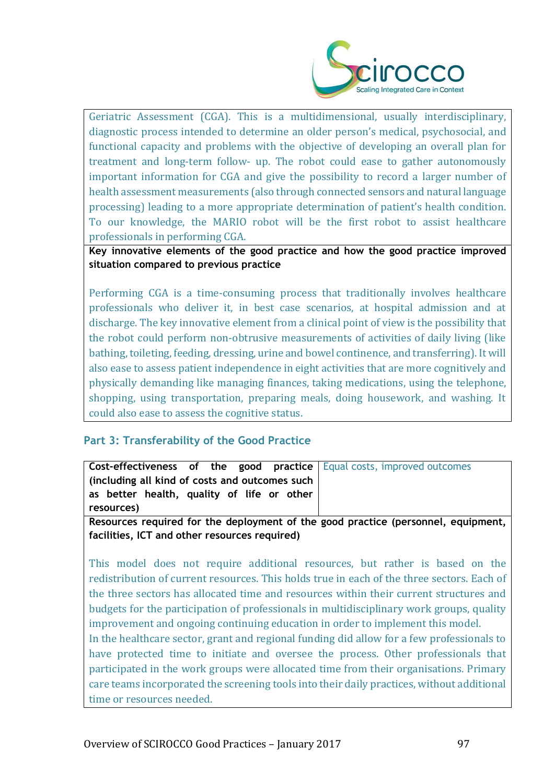

Geriatric Assessment (CGA). This is a multidimensional, usually interdisciplinary, diagnostic process intended to determine an older person's medical, psychosocial, and functional capacity and problems with the objective of developing an overall plan for treatment and long-term follow- up. The robot could ease to gather autonomously important information for CGA and give the possibility to record a larger number of health assessment measurements (also through connected sensors and natural language processing) leading to a more appropriate determination of patient's health condition. To our knowledge, the MARIO robot will be the first robot to assist healthcare professionals in performing CGA.

**Key innovative elements of the good practice and how the good practice improved situation compared to previous practice**

Performing CGA is a time-consuming process that traditionally involves healthcare professionals who deliver it, in best case scenarios, at hospital admission and at discharge. The key innovative element from a clinical point of view is the possibility that the robot could perform non-obtrusive measurements of activities of daily living (like bathing, toileting, feeding, dressing, urine and bowel continence, and transferring). It will also ease to assess patient independence in eight activities that are more cognitively and physically demanding like managing finances, taking medications, using the telephone, shopping, using transportation, preparing meals, doing housework, and washing. It could also ease to assess the cognitive status.

# **Part 3: Transferability of the Good Practice**

| <b>Cost-effectiveness of the good practice</b>   Equal costs, improved outcomes                     |  |
|-----------------------------------------------------------------------------------------------------|--|
| (including all kind of costs and outcomes such                                                      |  |
| as better health, quality of life or other                                                          |  |
| resources)                                                                                          |  |
| The concerns on an Arrange Line and selections and selected and selected are added. An analyzed the |  |

**Resources required for the deployment of the good practice (personnel, equipment, facilities, ICT and other resources required)**

This model does not require additional resources, but rather is based on the redistribution of current resources. This holds true in each of the three sectors. Each of the three sectors has allocated time and resources within their current structures and budgets for the participation of professionals in multidisciplinary work groups, quality improvement and ongoing continuing education in order to implement this model.

In the healthcare sector, grant and regional funding did allow for a few professionals to have protected time to initiate and oversee the process. Other professionals that participated in the work groups were allocated time from their organisations. Primary care teams incorporated the screening tools into their daily practices, without additional time or resources needed.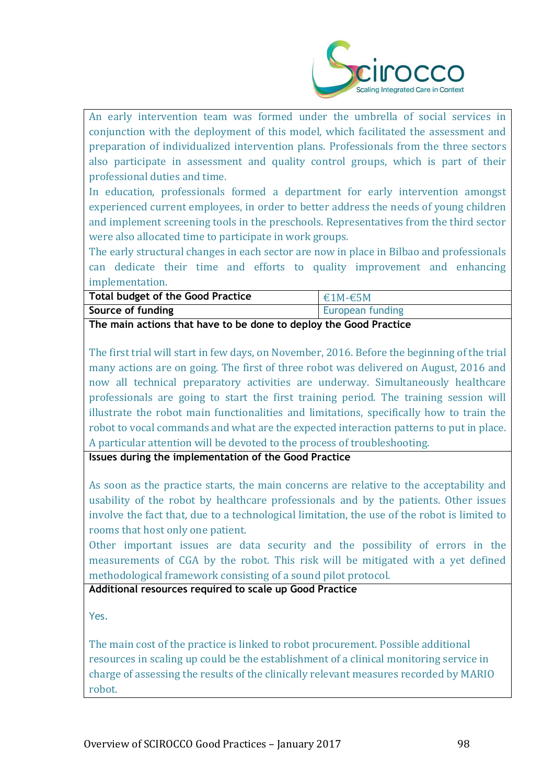

An early intervention team was formed under the umbrella of social services in conjunction with the deployment of this model, which facilitated the assessment and preparation of individualized intervention plans. Professionals from the three sectors also participate in assessment and quality control groups, which is part of their professional duties and time.

In education, professionals formed a department for early intervention amongst experienced current employees, in order to better address the needs of young children and implement screening tools in the preschools. Representatives from the third sector were also allocated time to participate in work groups.

The early structural changes in each sector are now in place in Bilbao and professionals can dedicate their time and efforts to quality improvement and enhancing implementation.

| <b>Total budget of the Good Practice</b>                          | $€1M-€5M$        |  |
|-------------------------------------------------------------------|------------------|--|
| Source of funding                                                 | European funding |  |
| The main actions that have to be done to deploy the Good Practice |                  |  |

The first trial will start in few days, on November, 2016. Before the beginning of the trial many actions are on going. The first of three robot was delivered on August, 2016 and now all technical preparatory activities are underway. Simultaneously healthcare professionals are going to start the first training period. The training session will illustrate the robot main functionalities and limitations, specifically how to train the robot to vocal commands and what are the expected interaction patterns to put in place. A particular attention will be devoted to the process of troubleshooting.

**Issues during the implementation of the Good Practice**

As soon as the practice starts, the main concerns are relative to the acceptability and usability of the robot by healthcare professionals and by the patients. Other issues involve the fact that, due to a technological limitation, the use of the robot is limited to rooms that host only one patient.

Other important issues are data security and the possibility of errors in the measurements of CGA by the robot. This risk will be mitigated with a yet defined methodological framework consisting of a sound pilot protocol.

**Additional resources required to scale up Good Practice**

Yes.

The main cost of the practice is linked to robot procurement. Possible additional resources in scaling up could be the establishment of a clinical monitoring service in charge of assessing the results of the clinically relevant measures recorded by MARIO robot.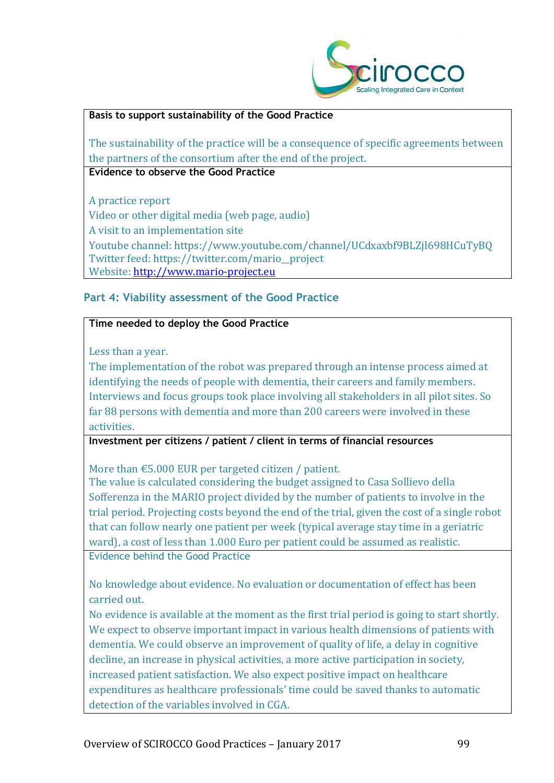

## **Basis to support sustainability of the Good Practice**

The sustainability of the practice will be a consequence of specific agreements between the partners of the consortium after the end of the project.

**Evidence to observe the Good Practice**

A practice report Video or other digital media (web page, audio) A visit to an implementation site Youtube channel: https://www.youtube.com/channel/UCdxaxbf9BLZjl698HCuTyBQ Twitter feed: https://twitter.com/mario\_\_project Website: [http://www.mario-project.eu](http://www.mario-project.eu/)

# **Part 4: Viability assessment of the Good Practice**

## **Time needed to deploy the Good Practice**

Less than a year.

The implementation of the robot was prepared through an intense process aimed at identifying the needs of people with dementia, their careers and family members. Interviews and focus groups took place involving all stakeholders in all pilot sites. So far 88 persons with dementia and more than 200 careers were involved in these activities.

## **Investment per citizens / patient / client in terms of financial resources**

More than €5.000 EUR per targeted citizen / patient.

The value is calculated considering the budget assigned to Casa Sollievo della Sofferenza in the MARIO project divided by the number of patients to involve in the trial period. Projecting costs beyond the end of the trial, given the cost of a single robot that can follow nearly one patient per week (typical average stay time in a geriatric ward), a cost of less than 1.000 Euro per patient could be assumed as realistic. Evidence behind the Good Practice

No knowledge about evidence. No evaluation or documentation of effect has been carried out.

No evidence is available at the moment as the first trial period is going to start shortly. We expect to observe important impact in various health dimensions of patients with dementia. We could observe an improvement of quality of life, a delay in cognitive decline, an increase in physical activities, a more active participation in society, increased patient satisfaction. We also expect positive impact on healthcare expenditures as healthcare professionals' time could be saved thanks to automatic detection of the variables involved in CGA.